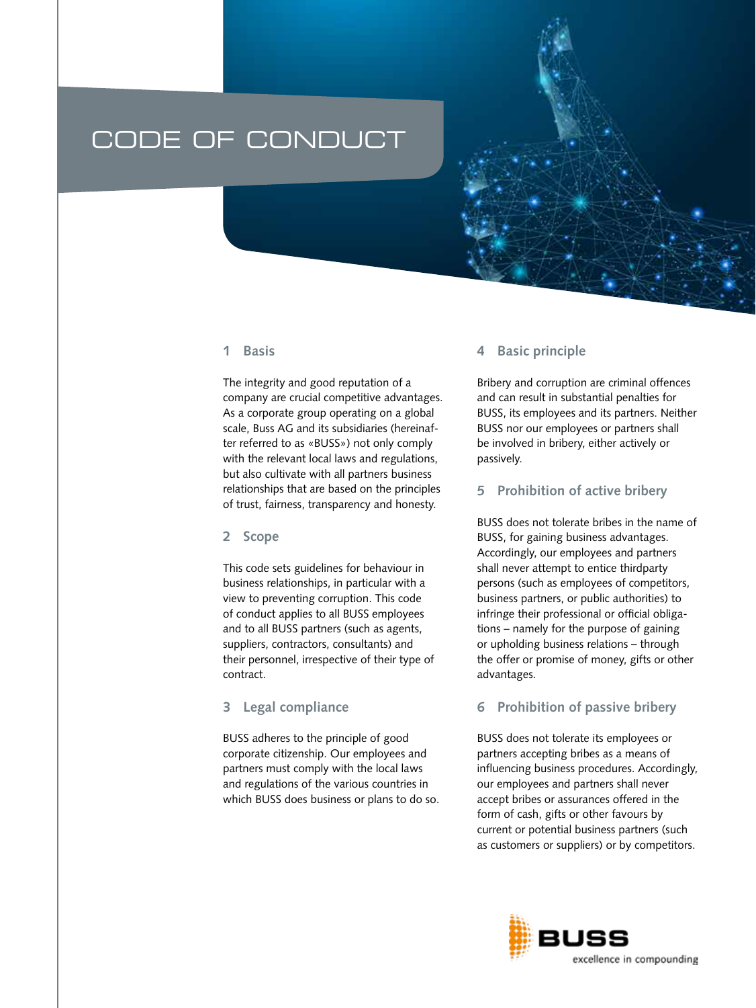# CODE OF CONDUCT

## **1 Basis**

The integrity and good reputation of a company are crucial competitive advantages. As a corporate group operating on a global scale, Buss AG and its subsidiaries (hereinafter referred to as «BUSS») not only comply with the relevant local laws and regulations, but also cultivate with all partners business relationships that are based on the principles of trust, fairness, transparency and honesty.

#### **2 Scope**

This code sets guidelines for behaviour in business relationships, in particular with a view to preventing corruption. This code of conduct applies to all BUSS employees and to all BUSS partners (such as agents, suppliers, contractors, consultants) and their personnel, irrespective of their type of contract.

### **3 Legal compliance**

BUSS adheres to the principle of good corporate citizenship. Our employees and partners must comply with the local laws and regulations of the various countries in which BUSS does business or plans to do so.

#### **4 Basic principle**

Bribery and corruption are criminal offences and can result in substantial penalties for BUSS, its employees and its partners. Neither BUSS nor our employees or partners shall be involved in bribery, either actively or passively.

#### **5 Prohibition of active bribery**

BUSS does not tolerate bribes in the name of BUSS, for gaining business advantages. Accordingly, our employees and partners shall never attempt to entice thirdparty persons (such as employees of competitors, business partners, or public authorities) to infringe their professional or official obligations – namely for the purpose of gaining or upholding business relations – through the offer or promise of money, gifts or other advantages.

#### **6 Prohibition of passive bribery**

BUSS does not tolerate its employees or partners accepting bribes as a means of influencing business procedures. Accordingly, our employees and partners shall never accept bribes or assurances offered in the form of cash, gifts or other favours by current or potential business partners (such as customers or suppliers) or by competitors.